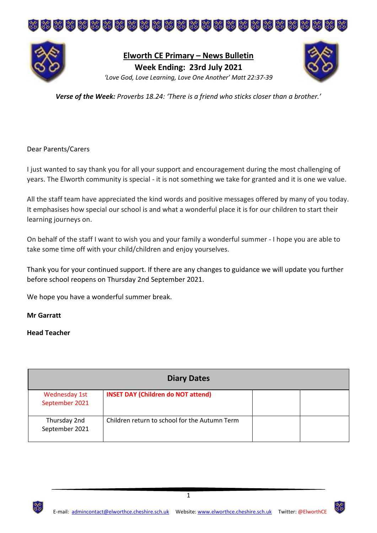



**Elworth CE Primary – News Bulletin Week Ending: 23rd July 2021** *'Love God, Love Learning, Love One Another' Matt 22:37-39*



*Verse of the Week: Proverbs 18.24: 'There is a friend who sticks closer than a brother.'*

#### Dear Parents/Carers

I just wanted to say thank you for all your support and encouragement during the most challenging of years. The Elworth community is special - it is not something we take for granted and it is one we value.

All the staff team have appreciated the kind words and positive messages offered by many of you today. It emphasises how special our school is and what a wonderful place it is for our children to start their learning journeys on.

On behalf of the staff I want to wish you and your family a wonderful summer - I hope you are able to take some time off with your child/children and enjoy yourselves.

Thank you for your continued support. If there are any changes to guidance we will update you further before school reopens on Thursday 2nd September 2021.

We hope you have a wonderful summer break.

#### **Mr Garratt**

#### **Head Teacher**

| <b>Diary Dates</b>                     |                                               |  |  |
|----------------------------------------|-----------------------------------------------|--|--|
| <b>Wednesday 1st</b><br>September 2021 | <b>INSET DAY (Children do NOT attend)</b>     |  |  |
| Thursday 2nd<br>September 2021         | Children return to school for the Autumn Term |  |  |

1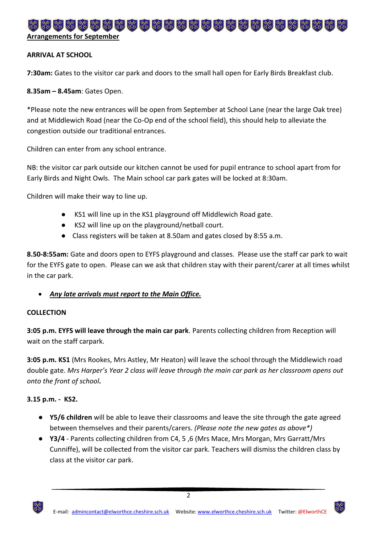# \*\*\*\*\*\*\*\*\*\*\*\*\*\*\*\*\*\*\*\*\*\*\* **Arrangements for September**

## **ARRIVAL AT SCHOOL**

**7:30am:** Gates to the visitor car park and doors to the small hall open for Early Birds Breakfast club.

**8.35am – 8.45am**: Gates Open.

\*Please note the new entrances will be open from September at School Lane (near the large Oak tree) and at Middlewich Road (near the Co-Op end of the school field), this should help to alleviate the congestion outside our traditional entrances.

Children can enter from any school entrance.

NB: the visitor car park outside our kitchen cannot be used for pupil entrance to school apart from for Early Birds and Night Owls. The Main school car park gates will be locked at 8:30am.

Children will make their way to line up.

- KS1 will line up in the KS1 playground off Middlewich Road gate.
- KS2 will line up on the playground/netball court.
- Class registers will be taken at 8.50am and gates closed by 8:55 a.m.

**8.50-8:55am:** Gate and doors open to EYFS playground and classes. Please use the staff car park to wait for the EYFS gate to open. Please can we ask that children stay with their parent/carer at all times whilst in the car park.

*Any late arrivals must report to the Main Office.*

## **COLLECTION**

**3:05 p.m. EYFS will leave through the main car park**. Parents collecting children from Reception will wait on the staff carpark.

**3:05 p.m. KS1** (Mrs Rookes, Mrs Astley, Mr Heaton) will leave the school through the Middlewich road double gate. *Mrs Harper's Year 2 class will leave through the main car park as her classroom opens out onto the front of school.*

## **3.15 p.m. - KS2.**

- **Y5/6 children** will be able to leave their classrooms and leave the site through the gate agreed between themselves and their parents/carers. *(Please note the new gates as above\*)*
- **Y3/4**  Parents collecting children from C4, 5 ,6 (Mrs Mace, Mrs Morgan, Mrs Garratt/Mrs Cunniffe), will be collected from the visitor car park. Teachers will dismiss the children class by class at the visitor car park.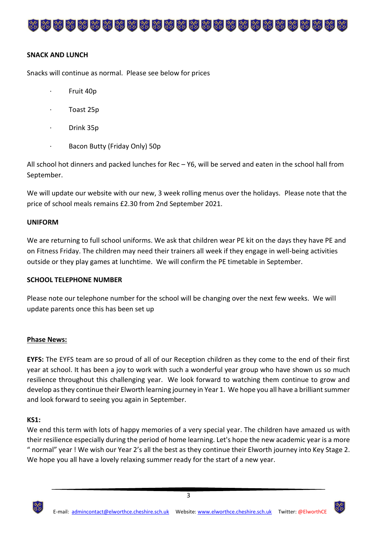# 

#### **SNACK AND LUNCH**

Snacks will continue as normal. Please see below for prices

- · Fruit 40p
- · Toast 25p
- · Drink 35p
- Bacon Butty (Friday Only) 50p

All school hot dinners and packed lunches for Rec – Y6, will be served and eaten in the school hall from September.

We will update our website with our new, 3 week rolling menus over the holidays. Please note that the price of school meals remains £2.30 from 2nd September 2021.

#### **UNIFORM**

We are returning to full school uniforms. We ask that children wear PE kit on the days they have PE and on Fitness Friday. The children may need their trainers all week if they engage in well-being activities outside or they play games at lunchtime. We will confirm the PE timetable in September.

#### **SCHOOL TELEPHONE NUMBER**

Please note our telephone number for the school will be changing over the next few weeks. We will update parents once this has been set up

#### **Phase News:**

**EYFS:** The EYFS team are so proud of all of our Reception children as they come to the end of their first year at school. It has been a joy to work with such a wonderful year group who have shown us so much resilience throughout this challenging year. We look forward to watching them continue to grow and develop as they continue their Elworth learning journey in Year 1. We hope you all have a brilliant summer and look forward to seeing you again in September.

#### **KS1:**

We end this term with lots of happy memories of a very special year. The children have amazed us with their resilience especially during the period of home learning. Let's hope the new academic year is a more " normal" year ! We wish our Year 2's all the best as they continue their Elworth journey into Key Stage 2. We hope you all have a lovely relaxing summer ready for the start of a new year.